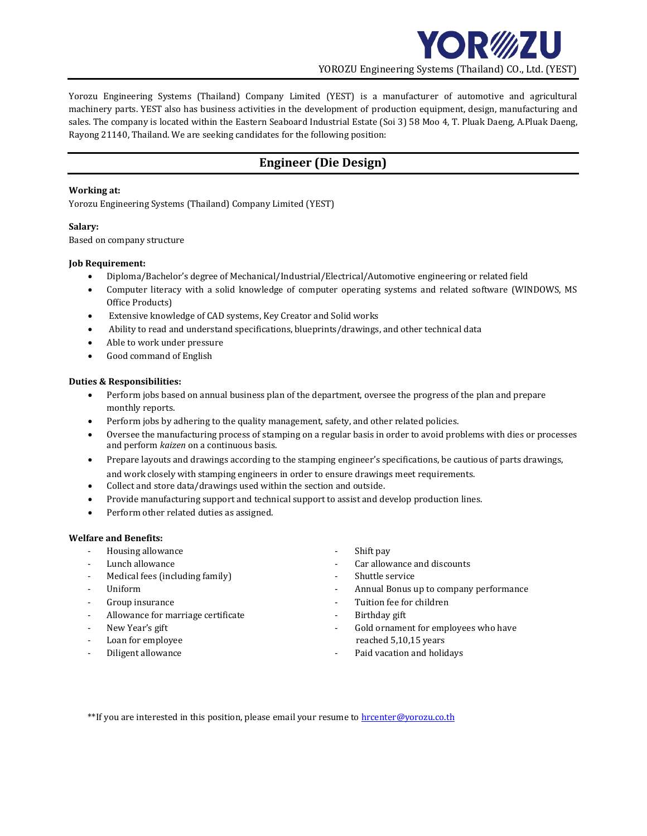

Yorozu Engineering Systems (Thailand) Company Limited (YEST) is a manufacturer of automotive and agricultural machinery parts. YEST also has business activities in the development of production equipment, design, manufacturing and sales. The company is located within the Eastern Seaboard Industrial Estate (Soi 3) 58 Moo 4, T. Pluak Daeng, A.Pluak Daeng, Rayong 21140, Thailand. We are seeking candidates for the following position:

# **Engineer (Die Design)**

### **Working at:**

Yorozu Engineering Systems (Thailand) Company Limited (YEST)

## **Salary:**

Based on company structure

### **Job Requirement:**

- Diploma/Bachelor's degree of Mechanical/Industrial/Electrical/Automotive engineering or related field
- Computer literacy with a solid knowledge of computer operating systems and related software (WINDOWS, MS Office Products)
- Extensive knowledge of CAD systems, Key Creator and Solid works
- Ability to read and understand specifications, blueprints/drawings, and other technical data
- Able to work under pressure
- Good command of English

## **Duties & Responsibilities:**

- Perform jobs based on annual business plan of the department, oversee the progress of the plan and prepare monthly reports.
- Perform jobs by adhering to the quality management, safety, and other related policies.
- Oversee the manufacturing process of stamping on a regular basis in order to avoid problems with dies or processes and perform *kaizen* on a continuous basis.
- Prepare layouts and drawings according to the stamping engineer's specifications, be cautious of parts drawings, and work closely with stamping engineers in order to ensure drawings meet requirements.
- Collect and store data/drawings used within the section and outside.
- Provide manufacturing support and technical support to assist and develop production lines.
- Perform other related duties as assigned.

### **Welfare and Benefits:**

- Housing allowance **a strategies of the Shift pay**
- 
- Medical fees (including family) Fig. 2. Shuttle service
- 
- 
- Allowance for marriage certificate **Allowance for marriage certificate Allowance for marriage certificate**
- 
- 
- 
- 
- Lunch allowance **Lunch** allowance  $\overline{\phantom{a}}$  car allowance and discounts
	-
- Uniform  **Annual Bonus up to company performance**
- Group insurance  $\overline{\phantom{a}}$  and  $\overline{\phantom{a}}$  are  $\overline{\phantom{a}}$  and  $\overline{\phantom{a}}$  are  $\overline{\phantom{a}}$  and  $\overline{\phantom{a}}$  are  $\overline{\phantom{a}}$  and  $\overline{\phantom{a}}$  are  $\overline{\phantom{a}}$  and  $\overline{\phantom{a}}$  are  $\overline{\phantom{a}}$  and  $\overline{\phantom{a}}$  are  $\overline{\phantom{a}}$  an
	-
- New Year's gift  $\qquad \qquad -$  Gold ornament for employees who have Loan for employee reached 5,10,15 years
- Diligent allowance **Allowance Contracts Paid vacation and holidays**

\*\*If you are interested in this position, please email your resume to **hrcenter@yorozu.co.th**